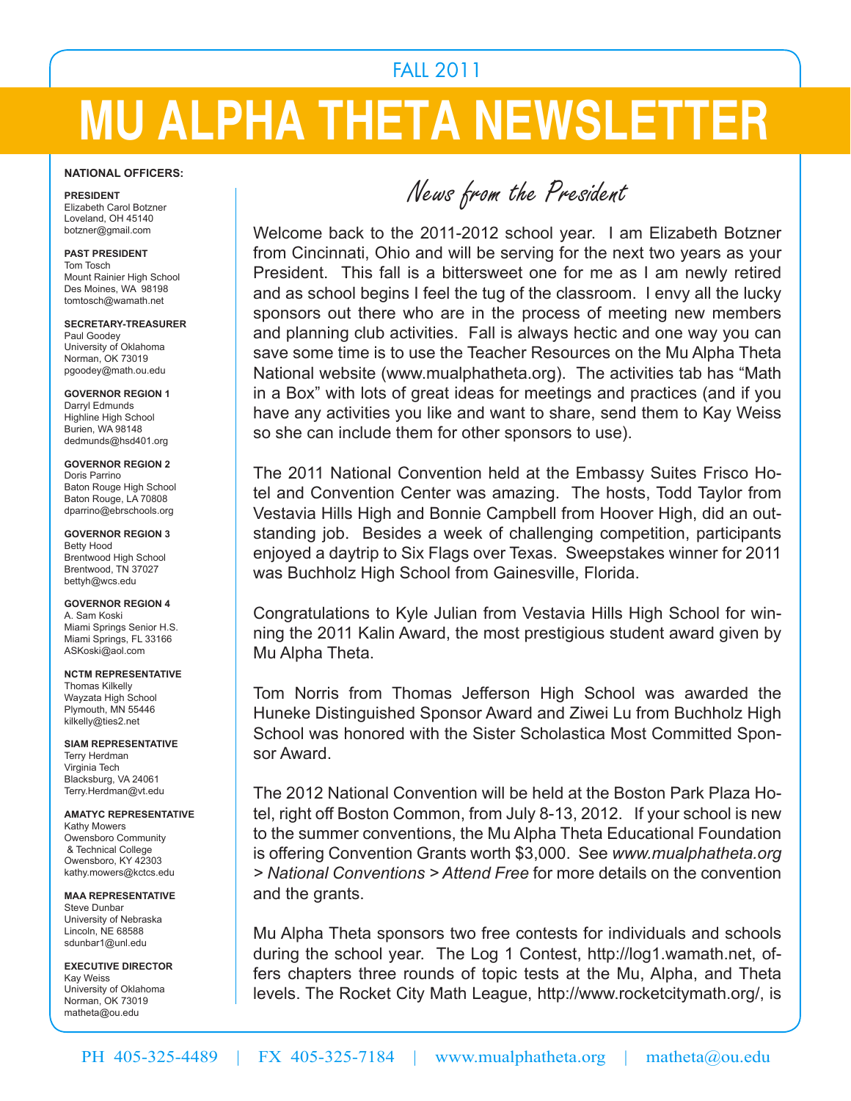## FALL 2011

# **MU ALPHA THETA NEWSLETTER**

#### **NATIONAL OFFICERS:**

**PRESIDENT** Elizabeth Carol Botzner Loveland, OH 45140 botzner@gmail.com

#### **PAST PRESIDENT** Tom Tosch Mount Rainier High School Des Moines, WA 98198 tomtosch@wamath.net

**SECRETARY-TREASURER** Paul Goodey University of Oklahoma Norman, OK 73019 pgoodey@math.ou.edu

**GOVERNOR REGION 1** Darryl Edmunds Highline High School Burien, WA 98148 dedmunds@hsd401.org

**GOVERNOR REGION 2** Doris Parrino Baton Rouge High School Baton Rouge, LA 70808 dparrino@ebrschools.org

**GOVERNOR REGION 3** Betty Hood Brentwood High School Brentwood, TN 37027 bettyh@wcs.edu

**GOVERNOR REGION 4** A. Sam Koski Miami Springs Senior H.S. Miami Springs, FL 33166 ASKoski@aol.com

**NCTM REPRESENTATIVE** Thomas Kilkelly Wayzata High School Plymouth, MN 55446 kilkelly@ties2.net

**SIAM REPRESENTATIVE** Terry Herdman Virginia Tech Blacksburg, VA 24061 Terry.Herdman@vt.edu

**AMATYC REPRESENTATIVE** Kathy Mowers Owensboro Community & Technical College Owensboro, KY 42303 kathy.mowers@kctcs.edu

**MAA REPRESENTATIVE** Steve Dunbar University of Nebraska Lincoln, NE 68588 sdunbar1@unl.edu

**EXECUTIVE DIRECTOR** Kay Weiss University of Oklahoma Norman, OK 73019 matheta@ou.edu

News from the President

Welcome back to the 2011-2012 school year. I am Elizabeth Botzner from Cincinnati, Ohio and will be serving for the next two years as your President. This fall is a bittersweet one for me as I am newly retired and as school begins I feel the tug of the classroom. I envy all the lucky sponsors out there who are in the process of meeting new members and planning club activities. Fall is always hectic and one way you can save some time is to use the Teacher Resources on the Mu Alpha Theta National website (www.mualphatheta.org). The activities tab has "Math in a Box" with lots of great ideas for meetings and practices (and if you have any activities you like and want to share, send them to Kay Weiss so she can include them for other sponsors to use).

The 2011 National Convention held at the Embassy Suites Frisco Hotel and Convention Center was amazing. The hosts, Todd Taylor from Vestavia Hills High and Bonnie Campbell from Hoover High, did an outstanding job. Besides a week of challenging competition, participants enjoyed a daytrip to Six Flags over Texas. Sweepstakes winner for 2011 was Buchholz High School from Gainesville, Florida.

Congratulations to Kyle Julian from Vestavia Hills High School for winning the 2011 Kalin Award, the most prestigious student award given by Mu Alpha Theta.

Tom Norris from Thomas Jefferson High School was awarded the Huneke Distinguished Sponsor Award and Ziwei Lu from Buchholz High School was honored with the Sister Scholastica Most Committed Sponsor Award.

The 2012 National Convention will be held at the Boston Park Plaza Hotel, right off Boston Common, from July 8-13, 2012. If your school is new to the summer conventions, the Mu Alpha Theta Educational Foundation is offering Convention Grants worth \$3,000. See *www.mualphatheta.org > National Conventions > Attend Free* for more details on the convention and the grants.

Mu Alpha Theta sponsors two free contests for individuals and schools during the school year. The Log 1 Contest, http://log1.wamath.net, offers chapters three rounds of topic tests at the Mu, Alpha, and Theta levels. The Rocket City Math League, http://www.rocketcitymath.org/, is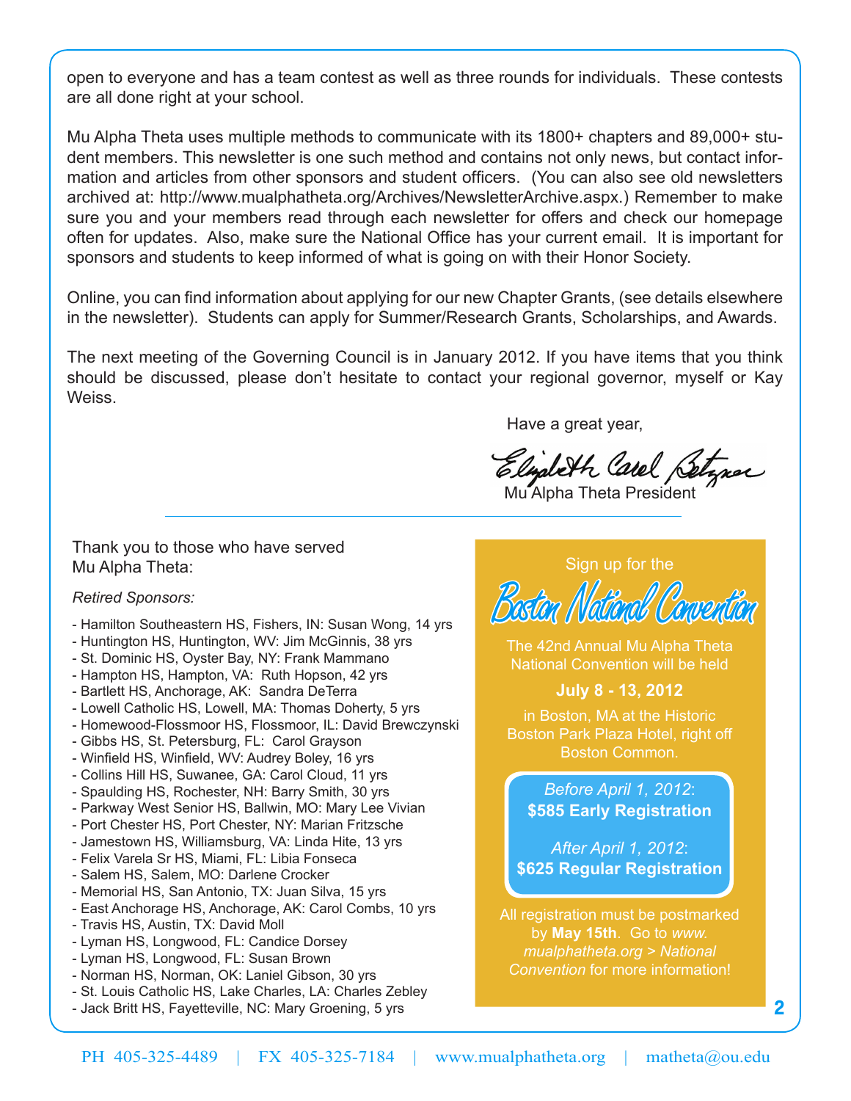open to everyone and has a team contest as well as three rounds for individuals. These contests are all done right at your school.

Mu Alpha Theta uses multiple methods to communicate with its 1800+ chapters and 89,000+ student members. This newsletter is one such method and contains not only news, but contact information and articles from other sponsors and student officers. (You can also see old newsletters archived at: http://www.mualphatheta.org/Archives/NewsletterArchive.aspx.) Remember to make sure you and your members read through each newsletter for offers and check our homepage often for updates. Also, make sure the National Office has your current email. It is important for sponsors and students to keep informed of what is going on with their Honor Society.

Online, you can find information about applying for our new Chapter Grants, (see details elsewhere in the newsletter). Students can apply for Summer/Research Grants, Scholarships, and Awards.

The next meeting of the Governing Council is in January 2012. If you have items that you think should be discussed, please don't hesitate to contact your regional governor, myself or Kay Weiss.

Have a great year,

Elizabeth Carel Betzner

Mu Alpha Theta President

Thank you to those who have served Mu Alpha Theta:

#### *Retired Sponsors:*

- Hamilton Southeastern HS, Fishers, IN: Susan Wong, 14 yrs
- Huntington HS, Huntington, WV: Jim McGinnis, 38 yrs
- St. Dominic HS, Oyster Bay, NY: Frank Mammano
- Hampton HS, Hampton, VA: Ruth Hopson, 42 yrs
- Bartlett HS, Anchorage, AK: Sandra DeTerra
- Lowell Catholic HS, Lowell, MA: Thomas Doherty, 5 yrs
- Homewood-Flossmoor HS, Flossmoor, IL: David Brewczynski
- Gibbs HS, St. Petersburg, FL: Carol Grayson
- Winfield HS, Winfield, WV: Audrey Boley, 16 yrs
- Collins Hill HS, Suwanee, GA: Carol Cloud, 11 yrs
- Spaulding HS, Rochester, NH: Barry Smith, 30 yrs
- Parkway West Senior HS, Ballwin, MO: Mary Lee Vivian
- Port Chester HS, Port Chester, NY: Marian Fritzsche
- Jamestown HS, Williamsburg, VA: Linda Hite, 13 yrs
- Felix Varela Sr HS, Miami, FL: Libia Fonseca
- Salem HS, Salem, MO: Darlene Crocker
- Memorial HS, San Antonio, TX: Juan Silva, 15 yrs
- East Anchorage HS, Anchorage, AK: Carol Combs, 10 yrs
- Travis HS, Austin, TX: David Moll
- Lyman HS, Longwood, FL: Candice Dorsey
- Lyman HS, Longwood, FL: Susan Brown
- Norman HS, Norman, OK: Laniel Gibson, 30 yrs
- St. Louis Catholic HS, Lake Charles, LA: Charles Zebley
- Jack Britt HS, Fayetteville, NC: Mary Groening, 5 yrs

### Sign up for the



The 42nd Annual Mu Alpha Theta National Convention will be held

### **July 8 - 13, 2012**

in Boston, MA at the Historic Boston Park Plaza Hotel, right off Boston Common.

*Before April 1, 2012*: **\$585 Early Registration**

*After April 1, 2012*: **\$625 Regular Registration**

All registration must be postmarked by **May 15th**. Go to *www. mualphatheta.org > National Convention* for more information!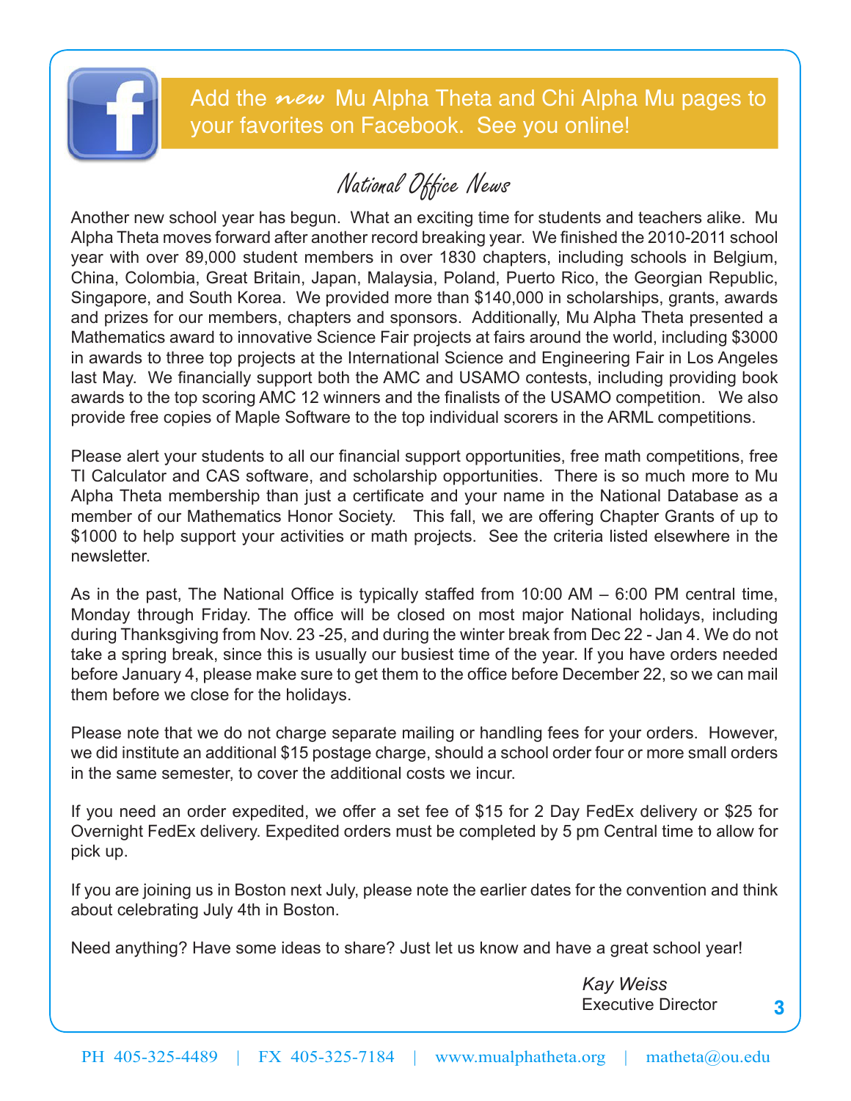

Add the *new* Mu Alpha Theta and Chi Alpha Mu pages to your favorites on Facebook. See you online!

# National Office News

Another new school year has begun. What an exciting time for students and teachers alike. Mu Alpha Theta moves forward after another record breaking year. We finished the 2010-2011 school year with over 89,000 student members in over 1830 chapters, including schools in Belgium, China, Colombia, Great Britain, Japan, Malaysia, Poland, Puerto Rico, the Georgian Republic, Singapore, and South Korea. We provided more than \$140,000 in scholarships, grants, awards and prizes for our members, chapters and sponsors. Additionally, Mu Alpha Theta presented a Mathematics award to innovative Science Fair projects at fairs around the world, including \$3000 in awards to three top projects at the International Science and Engineering Fair in Los Angeles last May. We financially support both the AMC and USAMO contests, including providing book awards to the top scoring AMC 12 winners and the finalists of the USAMO competition. We also provide free copies of Maple Software to the top individual scorers in the ARML competitions.

Please alert your students to all our financial support opportunities, free math competitions, free TI Calculator and CAS software, and scholarship opportunities. There is so much more to Mu Alpha Theta membership than just a certificate and your name in the National Database as a member of our Mathematics Honor Society. This fall, we are offering Chapter Grants of up to \$1000 to help support your activities or math projects. See the criteria listed elsewhere in the newsletter.

As in the past, The National Office is typically staffed from 10:00 AM – 6:00 PM central time, Monday through Friday. The office will be closed on most major National holidays, including during Thanksgiving from Nov. 23 -25, and during the winter break from Dec 22 - Jan 4. We do not take a spring break, since this is usually our busiest time of the year. If you have orders needed before January 4, please make sure to get them to the office before December 22, so we can mail them before we close for the holidays.

Please note that we do not charge separate mailing or handling fees for your orders. However, we did institute an additional \$15 postage charge, should a school order four or more small orders in the same semester, to cover the additional costs we incur.

If you need an order expedited, we offer a set fee of \$15 for 2 Day FedEx delivery or \$25 for Overnight FedEx delivery. Expedited orders must be completed by 5 pm Central time to allow for pick up.

If you are joining us in Boston next July, please note the earlier dates for the convention and think about celebrating July 4th in Boston.

Need anything? Have some ideas to share? Just let us know and have a great school year!

 *Kay Weiss* Executive Director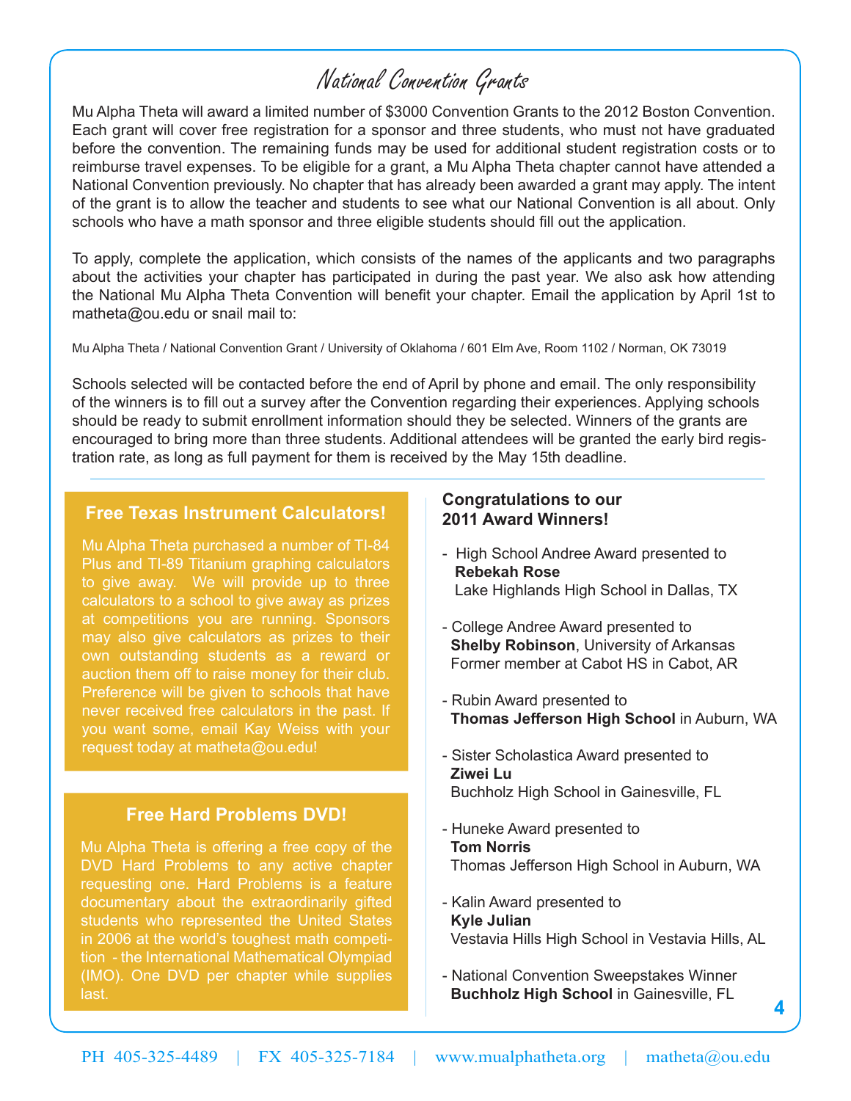# National Convention Grants

Mu Alpha Theta will award a limited number of \$3000 Convention Grants to the 2012 Boston Convention. Each grant will cover free registration for a sponsor and three students, who must not have graduated before the convention. The remaining funds may be used for additional student registration costs or to reimburse travel expenses. To be eligible for a grant, a Mu Alpha Theta chapter cannot have attended a National Convention previously. No chapter that has already been awarded a grant may apply. The intent of the grant is to allow the teacher and students to see what our National Convention is all about. Only schools who have a math sponsor and three eligible students should fill out the application.

To apply, complete the application, which consists of the names of the applicants and two paragraphs about the activities your chapter has participated in during the past year. We also ask how attending the National Mu Alpha Theta Convention will benefit your chapter. Email the application by April 1st to matheta@ou.edu or snail mail to:

Mu Alpha Theta / National Convention Grant / University of Oklahoma / 601 Elm Ave, Room 1102 / Norman, OK 73019

Schools selected will be contacted before the end of April by phone and email. The only responsibility of the winners is to fill out a survey after the Convention regarding their experiences. Applying schools should be ready to submit enrollment information should they be selected. Winners of the grants are encouraged to bring more than three students. Additional attendees will be granted the early bird registration rate, as long as full payment for them is received by the May 15th deadline.

## **Free Texas Instrument Calculators!**

Mu Alpha Theta purchased a number of TI-84 Plus and TI-89 Titanium graphing calculators to give away. We will provide up to three calculators to a school to give away as prizes at competitions you are running. Sponsors may also give calculators as prizes to their own outstanding students as a reward or auction them off to raise money for their club. Preference will be given to schools that have never received free calculators in the past. If you want some, email Kay Weiss with your request today at matheta@ou.edu!

### **Free Hard Problems DVD!**

Mu Alpha Theta is offering a free copy of the DVD Hard Problems to any active chapter requesting one. Hard Problems is a feature documentary about the extraordinarily gifted students who represented the United States in 2006 at the world's toughest math competition - the International Mathematical Olympiad (IMO). One DVD per chapter while supplies last.

### **Congratulations to our 2011 Award Winners!**

- High School Andree Award presented to **Rebekah Rose** Lake Highlands High School in Dallas, TX
- College Andree Award presented to **Shelby Robinson**, University of Arkansas Former member at Cabot HS in Cabot, AR
- Rubin Award presented to **Thomas Jefferson High School** in Auburn, WA
- Sister Scholastica Award presented to **Ziwei Lu** Buchholz High School in Gainesville, FL
- Huneke Award presented to  **Tom Norris** Thomas Jefferson High School in Auburn, WA
- Kalin Award presented to  **Kyle Julian** Vestavia Hills High School in Vestavia Hills, AL

**4**

- National Convention Sweepstakes Winner **Buchholz High School** in Gainesville, FL

PH 405-325-4489 | FX 405-325-7184 | www.mualphatheta.org | matheta@ou.edu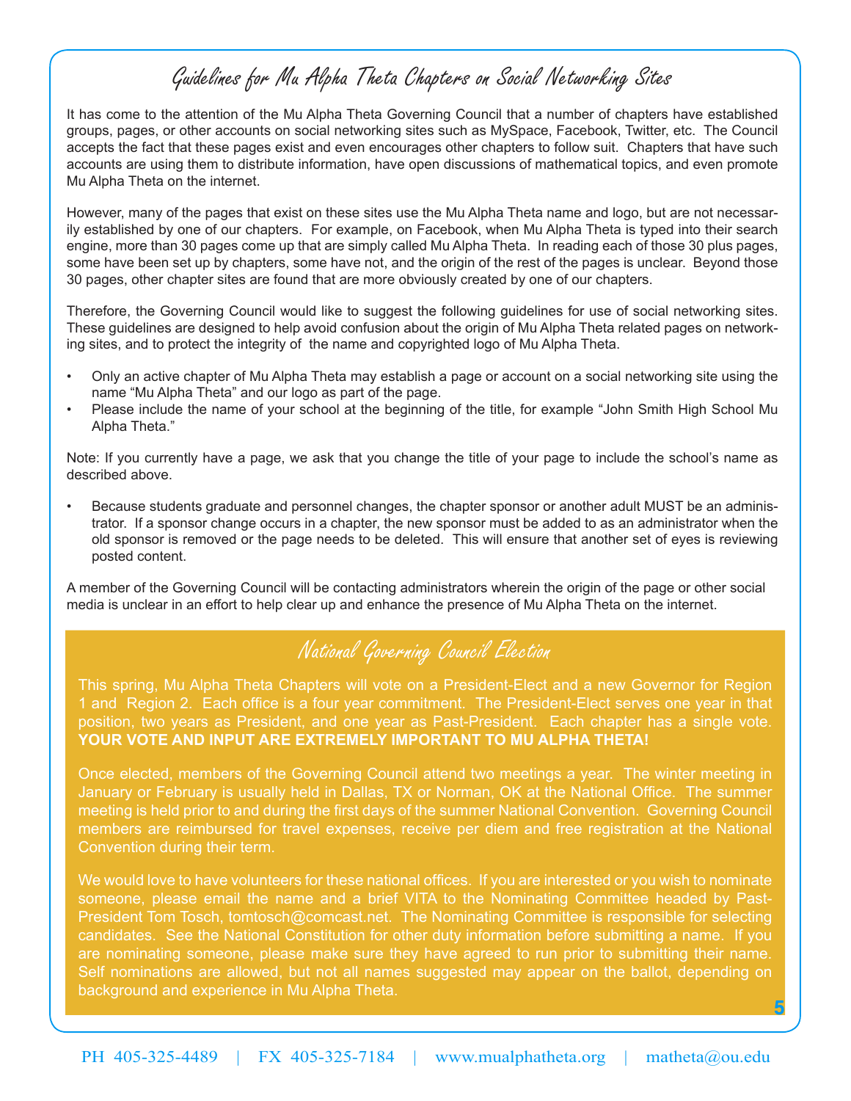## Guidelines for Mu Alpha Theta Chapters on Social Networking Sites

It has come to the attention of the Mu Alpha Theta Governing Council that a number of chapters have established groups, pages, or other accounts on social networking sites such as MySpace, Facebook, Twitter, etc. The Council accepts the fact that these pages exist and even encourages other chapters to follow suit. Chapters that have such accounts are using them to distribute information, have open discussions of mathematical topics, and even promote Mu Alpha Theta on the internet.

However, many of the pages that exist on these sites use the Mu Alpha Theta name and logo, but are not necessarily established by one of our chapters. For example, on Facebook, when Mu Alpha Theta is typed into their search engine, more than 30 pages come up that are simply called Mu Alpha Theta. In reading each of those 30 plus pages, some have been set up by chapters, some have not, and the origin of the rest of the pages is unclear. Beyond those 30 pages, other chapter sites are found that are more obviously created by one of our chapters.

Therefore, the Governing Council would like to suggest the following guidelines for use of social networking sites. These guidelines are designed to help avoid confusion about the origin of Mu Alpha Theta related pages on networking sites, and to protect the integrity of the name and copyrighted logo of Mu Alpha Theta.

- Only an active chapter of Mu Alpha Theta may establish a page or account on a social networking site using the name "Mu Alpha Theta" and our logo as part of the page.
- Please include the name of your school at the beginning of the title, for example "John Smith High School Mu Alpha Theta."

Note: If you currently have a page, we ask that you change the title of your page to include the school's name as described above.

• Because students graduate and personnel changes, the chapter sponsor or another adult MUST be an administrator. If a sponsor change occurs in a chapter, the new sponsor must be added to as an administrator when the old sponsor is removed or the page needs to be deleted. This will ensure that another set of eyes is reviewing posted content.

A member of the Governing Council will be contacting administrators wherein the origin of the page or other social media is unclear in an effort to help clear up and enhance the presence of Mu Alpha Theta on the internet.

## National Governing Council Election

This spring, Mu Alpha Theta Chapters will vote on a President-Elect and a new Governor for Region 1 and Region 2. Each office is a four year commitment. The President-Elect serves one year in that position, two years as President, and one year as Past-President. Each chapter has a single vote. **YOUR VOTE AND INPUT ARE EXTREMELY IMPORTANT TO MU ALPHA THETA!**

Once elected, members of the Governing Council attend two meetings a year. The winter meeting in January or February is usually held in Dallas, TX or Norman, OK at the National Office. The summer meeting is held prior to and during the first days of the summer National Convention. Governing Council members are reimbursed for travel expenses, receive per diem and free registration at the National Convention during their term.

We would love to have volunteers for these national offices. If you are interested or you wish to nominate someone, please email the name and a brief VITA to the Nominating Committee headed by Past-President Tom Tosch, tomtosch@comcast.net. The Nominating Committee is responsible for selecting candidates. See the National Constitution for other duty information before submitting a name. If you are nominating someone, please make sure they have agreed to run prior to submitting their name. Self nominations are allowed, but not all names suggested may appear on the ballot, depending on background and experience in Mu Alpha Theta.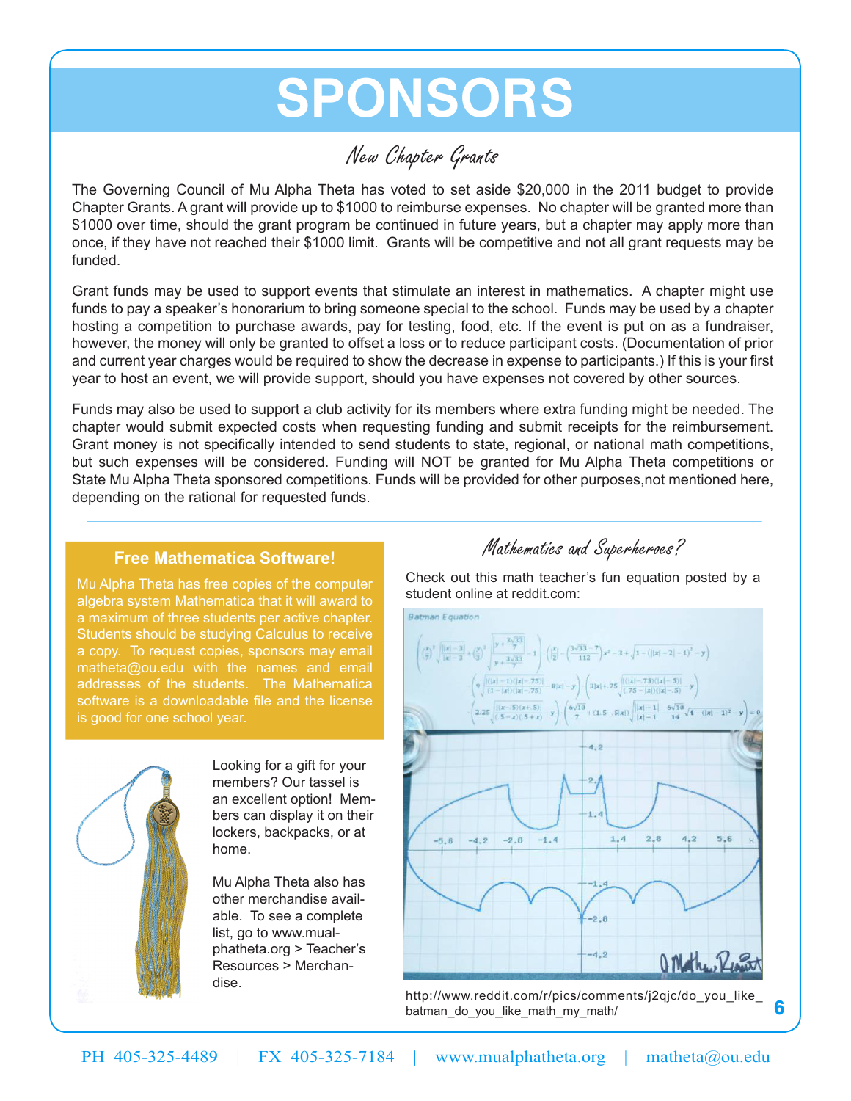# **Sponsors**

# New Chapter Grants

The Governing Council of Mu Alpha Theta has voted to set aside \$20,000 in the 2011 budget to provide Chapter Grants. A grant will provide up to \$1000 to reimburse expenses. No chapter will be granted more than \$1000 over time, should the grant program be continued in future years, but a chapter may apply more than once, if they have not reached their \$1000 limit. Grants will be competitive and not all grant requests may be funded.

Grant funds may be used to support events that stimulate an interest in mathematics. A chapter might use funds to pay a speaker's honorarium to bring someone special to the school. Funds may be used by a chapter hosting a competition to purchase awards, pay for testing, food, etc. If the event is put on as a fundraiser, however, the money will only be granted to offset a loss or to reduce participant costs. (Documentation of prior and current year charges would be required to show the decrease in expense to participants.) If this is your first year to host an event, we will provide support, should you have expenses not covered by other sources.

Funds may also be used to support a club activity for its members where extra funding might be needed. The chapter would submit expected costs when requesting funding and submit receipts for the reimbursement. Grant money is not specifically intended to send students to state, regional, or national math competitions, but such expenses will be considered. Funding will NOT be granted for Mu Alpha Theta competitions or State Mu Alpha Theta sponsored competitions. Funds will be provided for other purposes,not mentioned here, depending on the rational for requested funds.

## **Free Mathematica Software!**

Mu Alpha Theta has free copies of the computer algebra system Mathematica that it will award to a maximum of three students per active chapter. Students should be studying Calculus to receive a copy. To request copies, sponsors may email matheta@ou.edu with the names and email addresses of the students. The Mathematica software is a downloadable file and the license is good for one school year.



Looking for a gift for your members? Our tassel is an excellent option! Members can display it on their lockers, backpacks, or at home.

Mu Alpha Theta also has other merchandise available. To see a complete list, go to www.mualphatheta.org > Teacher's Resources > Merchandise.

## Mathematics and Superheroes?

Check out this math teacher's fun equation posted by a student online at reddit.com:



http://www.reddit.com/r/pics/comments/j2qjc/do\_you\_like\_ batman do you like math my math/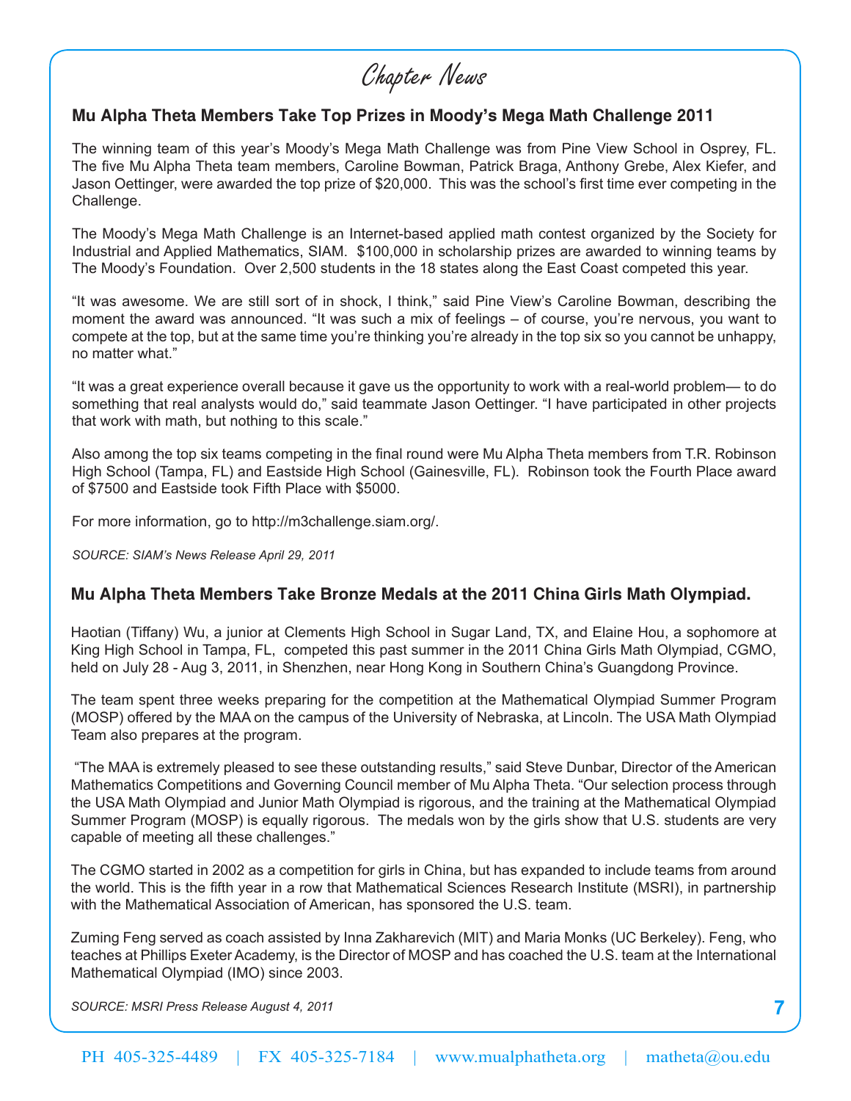# Chapter News

## **Mu Alpha Theta Members Take Top Prizes in Moody's Mega Math Challenge 2011**

The winning team of this year's Moody's Mega Math Challenge was from Pine View School in Osprey, FL. The five Mu Alpha Theta team members, Caroline Bowman, Patrick Braga, Anthony Grebe, Alex Kiefer, and Jason Oettinger, were awarded the top prize of \$20,000. This was the school's first time ever competing in the Challenge.

The Moody's Mega Math Challenge is an Internet-based applied math contest organized by the Society for Industrial and Applied Mathematics, SIAM. \$100,000 in scholarship prizes are awarded to winning teams by The Moody's Foundation. Over 2,500 students in the 18 states along the East Coast competed this year.

"It was awesome. We are still sort of in shock, I think," said Pine View's Caroline Bowman, describing the moment the award was announced. "It was such a mix of feelings – of course, you're nervous, you want to compete at the top, but at the same time you're thinking you're already in the top six so you cannot be unhappy, no matter what."

"It was a great experience overall because it gave us the opportunity to work with a real-world problem— to do something that real analysts would do," said teammate Jason Oettinger. "I have participated in other projects that work with math, but nothing to this scale."

Also among the top six teams competing in the final round were Mu Alpha Theta members from T.R. Robinson High School (Tampa, FL) and Eastside High School (Gainesville, FL). Robinson took the Fourth Place award of \$7500 and Eastside took Fifth Place with \$5000.

For more information, go to http://m3challenge.siam.org/.

*SOURCE: SIAM's News Release April 29, 2011*

## **Mu Alpha Theta Members Take Bronze Medals at the 2011 China Girls Math Olympiad.**

Haotian (Tiffany) Wu, a junior at Clements High School in Sugar Land, TX, and Elaine Hou, a sophomore at King High School in Tampa, FL, competed this past summer in the 2011 China Girls Math Olympiad, CGMO, held on July 28 - Aug 3, 2011, in Shenzhen, near Hong Kong in Southern China's Guangdong Province.

The team spent three weeks preparing for the competition at the Mathematical Olympiad Summer Program (MOSP) offered by the MAA on the campus of the University of Nebraska, at Lincoln. The USA Math Olympiad Team also prepares at the program.

 "The MAA is extremely pleased to see these outstanding results," said Steve Dunbar, Director of the American Mathematics Competitions and Governing Council member of Mu Alpha Theta. "Our selection process through the USA Math Olympiad and Junior Math Olympiad is rigorous, and the training at the Mathematical Olympiad Summer Program (MOSP) is equally rigorous. The medals won by the girls show that U.S. students are very capable of meeting all these challenges."

The CGMO started in 2002 as a competition for girls in China, but has expanded to include teams from around the world. This is the fifth year in a row that Mathematical Sciences Research Institute (MSRI), in partnership with the Mathematical Association of American, has sponsored the U.S. team.

Zuming Feng served as coach assisted by Inna Zakharevich (MIT) and Maria Monks (UC Berkeley). Feng, who teaches at Phillips Exeter Academy, is the Director of MOSP and has coached the U.S. team at the International Mathematical Olympiad (IMO) since 2003.

*SOURCE: MSRI Press Release August 4, 2011*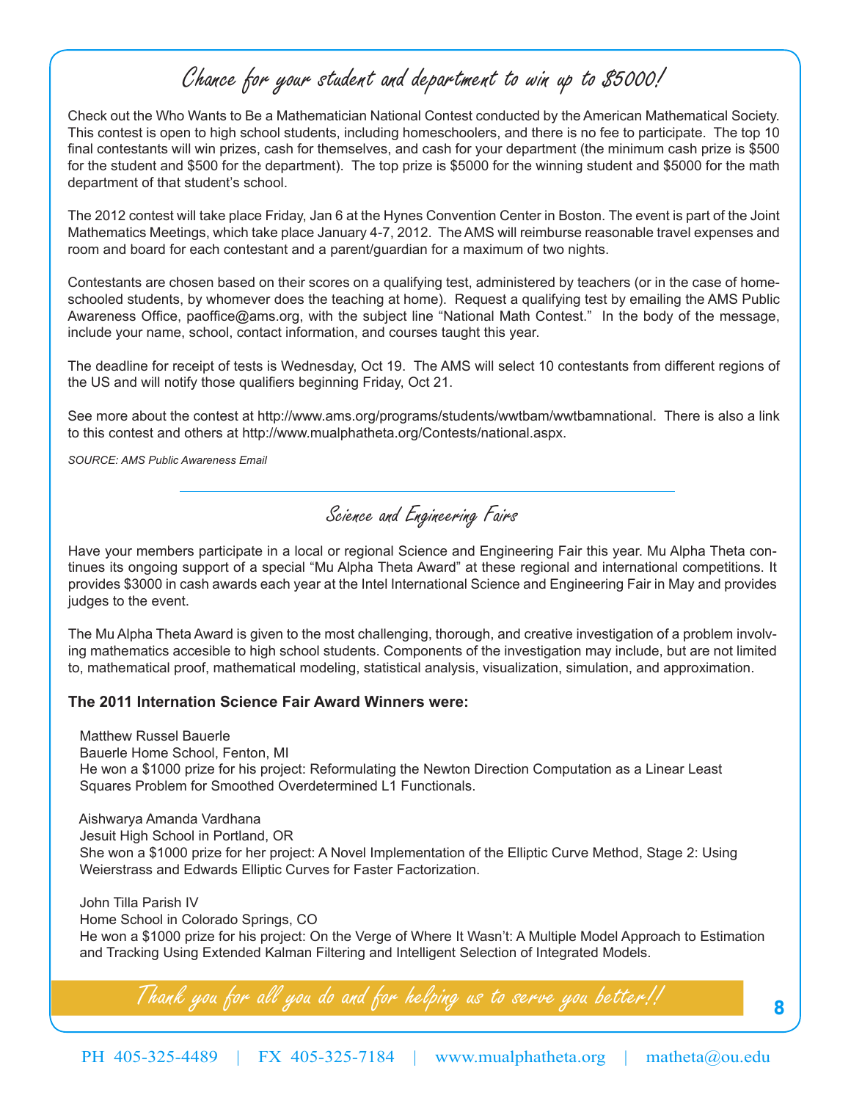# Chance for your student and department to win up to \$5000!

Check out the Who Wants to Be a Mathematician National Contest conducted by the American Mathematical Society. This contest is open to high school students, including homeschoolers, and there is no fee to participate. The top 10 final contestants will win prizes, cash for themselves, and cash for your department (the minimum cash prize is \$500 for the student and \$500 for the department). The top prize is \$5000 for the winning student and \$5000 for the math department of that student's school.

The 2012 contest will take place Friday, Jan 6 at the Hynes Convention Center in Boston. The event is part of the Joint Mathematics Meetings, which take place January 4-7, 2012. The AMS will reimburse reasonable travel expenses and room and board for each contestant and a parent/guardian for a maximum of two nights.

Contestants are chosen based on their scores on a qualifying test, administered by teachers (or in the case of homeschooled students, by whomever does the teaching at home). Request a qualifying test by emailing the AMS Public Awareness Office, paoffice@ams.org, with the subject line "National Math Contest." In the body of the message, include your name, school, contact information, and courses taught this year.

The deadline for receipt of tests is Wednesday, Oct 19. The AMS will select 10 contestants from different regions of the US and will notify those qualifiers beginning Friday, Oct 21.

See more about the contest at http://www.ams.org/programs/students/wwtbam/wwtbamnational. There is also a link to this contest and others at http://www.mualphatheta.org/Contests/national.aspx.

*SOURCE: AMS Public Awareness Email*

Science and Engineering Fairs

Have your members participate in a local or regional Science and Engineering Fair this year. Mu Alpha Theta continues its ongoing support of a special "Mu Alpha Theta Award" at these regional and international competitions. It provides \$3000 in cash awards each year at the Intel International Science and Engineering Fair in May and provides judges to the event.

The Mu Alpha Theta Award is given to the most challenging, thorough, and creative investigation of a problem involving mathematics accesible to high school students. Components of the investigation may include, but are not limited to, mathematical proof, mathematical modeling, statistical analysis, visualization, simulation, and approximation.

#### **The 2011 Internation Science Fair Award Winners were:**

 Matthew Russel Bauerle Bauerle Home School, Fenton, MI He won a \$1000 prize for his project: Reformulating the Newton Direction Computation as a Linear Least Squares Problem for Smoothed Overdetermined L1 Functionals.

 Aishwarya Amanda Vardhana Jesuit High School in Portland, OR She won a \$1000 prize for her project: A Novel Implementation of the Elliptic Curve Method, Stage 2: Using Weierstrass and Edwards Elliptic Curves for Faster Factorization.

 John Tilla Parish IV Home School in Colorado Springs, CO He won a \$1000 prize for his project: On the Verge of Where It Wasn't: A Multiple Model Approach to Estimation and Tracking Using Extended Kalman Filtering and Intelligent Selection of Integrated Models.

Thank you for all you do and for helping us to serve you better!!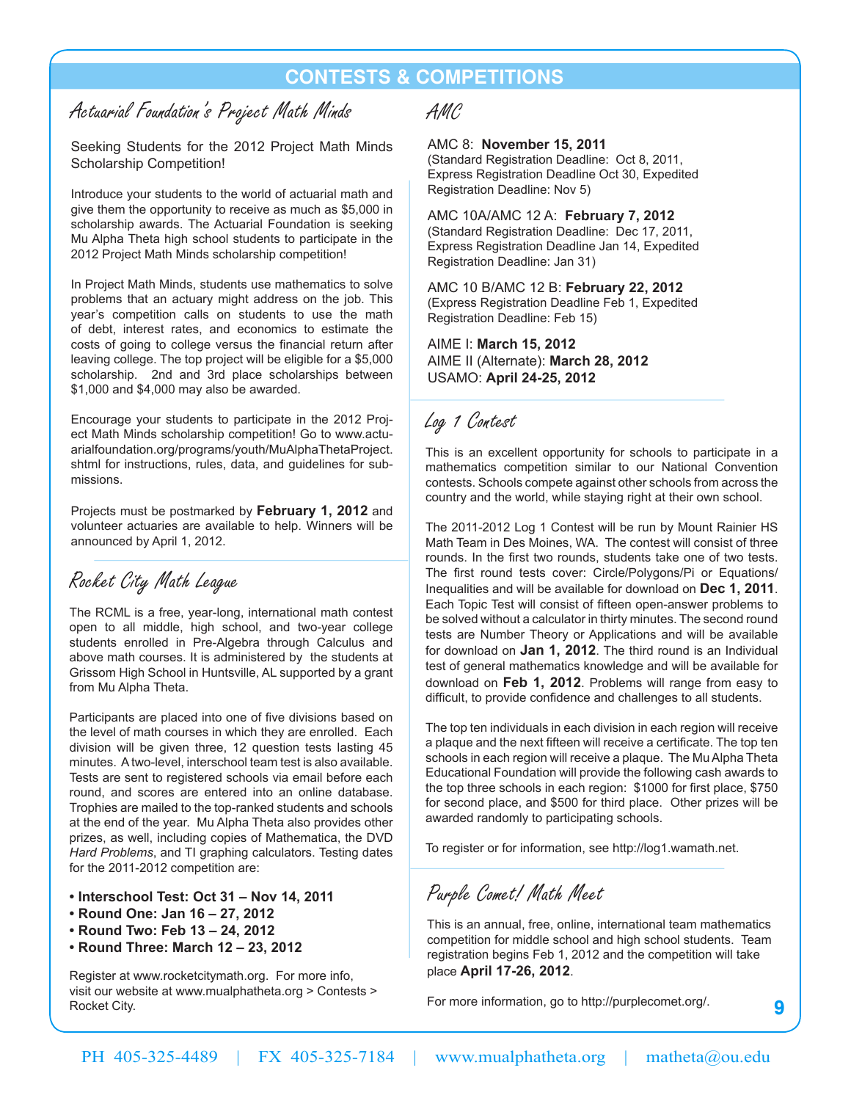## **Contests & Competitions**

## Actuarial Foundation's Project Math Minds

Seeking Students for the 2012 Project Math Minds Scholarship Competition!

Introduce your students to the world of actuarial math and give them the opportunity to receive as much as \$5,000 in scholarship awards. The Actuarial Foundation is seeking Mu Alpha Theta high school students to participate in the 2012 Project Math Minds scholarship competition!

In Project Math Minds, students use mathematics to solve problems that an actuary might address on the job. This year's competition calls on students to use the math of debt, interest rates, and economics to estimate the costs of going to college versus the financial return after leaving college. The top project will be eligible for a \$5,000 scholarship. 2nd and 3rd place scholarships between \$1,000 and \$4,000 may also be awarded.

Encourage your students to participate in the 2012 Project Math Minds scholarship competition! Go to www.actuarialfoundation.org/programs/youth/MuAlphaThetaProject. shtml for instructions, rules, data, and guidelines for submissions.

Projects must be postmarked by **February 1, 2012** and volunteer actuaries are available to help. Winners will be announced by April 1, 2012.

## Rocket City Math League

The RCML is a free, year-long, international math contest open to all middle, high school, and two-year college students enrolled in Pre-Algebra through Calculus and above math courses. It is administered by the students at Grissom High School in Huntsville, AL supported by a grant from Mu Alpha Theta.

Participants are placed into one of five divisions based on the level of math courses in which they are enrolled. Each division will be given three, 12 question tests lasting 45 minutes. A two-level, interschool team test is also available. Tests are sent to registered schools via email before each round, and scores are entered into an online database. Trophies are mailed to the top-ranked students and schools at the end of the year. Mu Alpha Theta also provides other prizes, as well, including copies of Mathematica, the DVD *Hard Problems*, and TI graphing calculators. Testing dates for the 2011-2012 competition are:

- **Interschool Test: Oct 31 Nov 14, 2011**
- **Round One: Jan 16 27, 2012**
- **Round Two: Feb 13 24, 2012**
- **Round Three: March 12 23, 2012**

Register at www.rocketcitymath.org. For more info, visit our website at www.mualphatheta.org > Contests > Rocket City.

## AMC

#### AMC 8: **November 15, 2011**

(Standard Registration Deadline: Oct 8, 2011, Express Registration Deadline Oct 30, Expedited Registration Deadline: Nov 5)

AMC 10A/AMC 12 A: **February 7, 2012** (Standard Registration Deadline: Dec 17, 2011, Express Registration Deadline Jan 14, Expedited Registration Deadline: Jan 31)

AMC 10 B/AMC 12 B: **February 22, 2012** (Express Registration Deadline Feb 1, Expedited Registration Deadline: Feb 15)

AIME I: **March 15, 2012** AIME II (Alternate): **March 28, 2012** USAMO: **April 24-25, 2012**

## Log 1 Contest

This is an excellent opportunity for schools to participate in a mathematics competition similar to our National Convention contests. Schools compete against other schools from across the country and the world, while staying right at their own school.

The 2011-2012 Log 1 Contest will be run by Mount Rainier HS Math Team in Des Moines, WA. The contest will consist of three rounds. In the first two rounds, students take one of two tests. The first round tests cover: Circle/Polygons/Pi or Equations/ Inequalities and will be available for download on **Dec 1, 2011**. Each Topic Test will consist of fifteen open-answer problems to be solved without a calculator in thirty minutes. The second round tests are Number Theory or Applications and will be available for download on **Jan 1, 2012**. The third round is an Individual test of general mathematics knowledge and will be available for download on **Feb 1, 2012**. Problems will range from easy to difficult, to provide confidence and challenges to all students.

The top ten individuals in each division in each region will receive a plaque and the next fifteen will receive a certificate. The top ten schools in each region will receive a plaque. The Mu Alpha Theta Educational Foundation will provide the following cash awards to the top three schools in each region: \$1000 for first place, \$750 for second place, and \$500 for third place. Other prizes will be awarded randomly to participating schools.

To register or for information, see http://log1.wamath.net.

Purple Comet! Math Meet

This is an annual, free, online, international team mathematics competition for middle school and high school students. Team registration begins Feb 1, 2012 and the competition will take place **April 17-26, 2012**.

**9**

For more information, go to http://purplecomet.org/.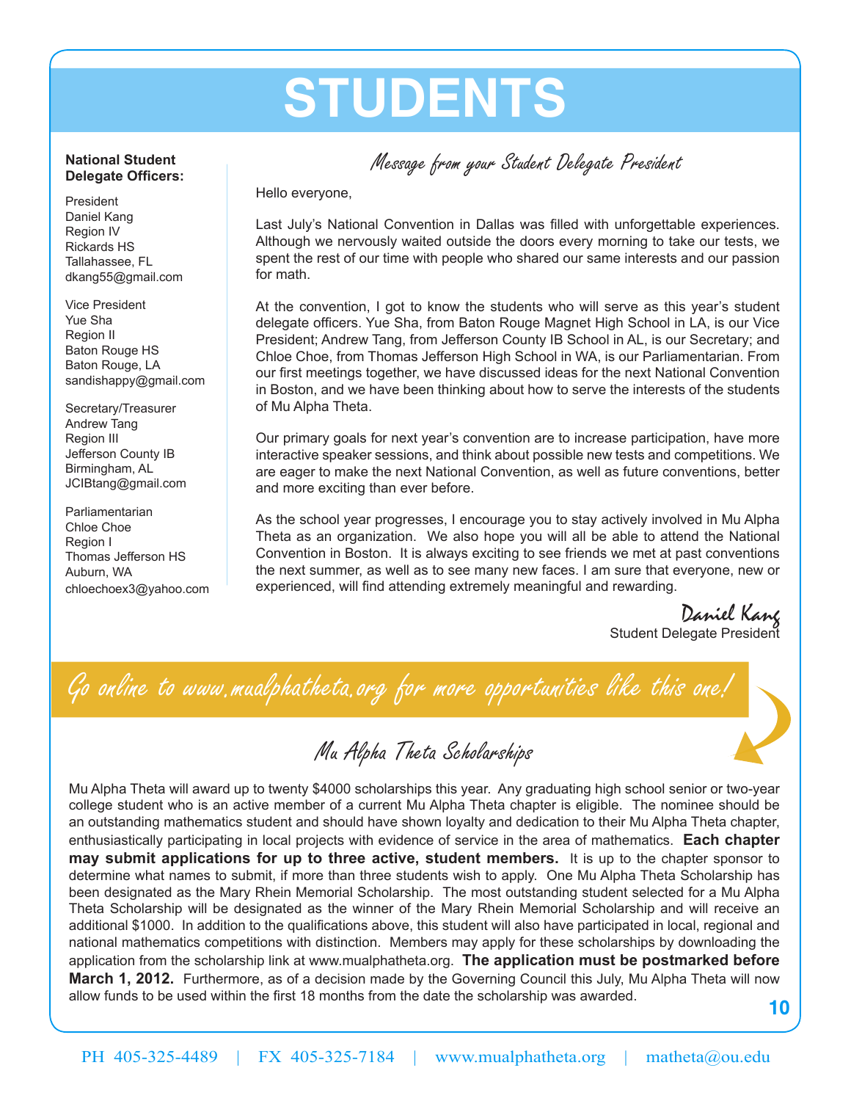# **Students**

## Message from your Student Delegate President

Hello everyone,

Last July's National Convention in Dallas was filled with unforgettable experiences. Although we nervously waited outside the doors every morning to take our tests, we spent the rest of our time with people who shared our same interests and our passion for math.

At the convention, I got to know the students who will serve as this year's student delegate officers. Yue Sha, from Baton Rouge Magnet High School in LA, is our Vice President; Andrew Tang, from Jefferson County IB School in AL, is our Secretary; and Chloe Choe, from Thomas Jefferson High School in WA, is our Parliamentarian. From our first meetings together, we have discussed ideas for the next National Convention in Boston, and we have been thinking about how to serve the interests of the students of Mu Alpha Theta.

Our primary goals for next year's convention are to increase participation, have more interactive speaker sessions, and think about possible new tests and competitions. We are eager to make the next National Convention, as well as future conventions, better and more exciting than ever before.

As the school year progresses, I encourage you to stay actively involved in Mu Alpha Theta as an organization. We also hope you will all be able to attend the National Convention in Boston. It is always exciting to see friends we met at past conventions the next summer, as well as to see many new faces. I am sure that everyone, new or experienced, will find attending extremely meaningful and rewarding.

Daniel Kang<br>Student Delegate President

Go online to www.mualphatheta.org for more opportunities like this one!

# Mu Alpha Theta Scholarships

Mu Alpha Theta will award up to twenty \$4000 scholarships this year. Any graduating high school senior or two-year college student who is an active member of a current Mu Alpha Theta chapter is eligible. The nominee should be an outstanding mathematics student and should have shown loyalty and dedication to their Mu Alpha Theta chapter, enthusiastically participating in local projects with evidence of service in the area of mathematics. **Each chapter may submit applications for up to three active, student members.** It is up to the chapter sponsor to determine what names to submit, if more than three students wish to apply. One Mu Alpha Theta Scholarship has been designated as the Mary Rhein Memorial Scholarship. The most outstanding student selected for a Mu Alpha Theta Scholarship will be designated as the winner of the Mary Rhein Memorial Scholarship and will receive an additional \$1000. In addition to the qualifications above, this student will also have participated in local, regional and national mathematics competitions with distinction. Members may apply for these scholarships by downloading the application from the scholarship link at www.mualphatheta.org. **The application must be postmarked before March 1, 2012.** Furthermore, as of a decision made by the Governing Council this July, Mu Alpha Theta will now allow funds to be used within the first 18 months from the date the scholarship was awarded.

**10**

#### sandishappy@gmail.com Secretary/Treasurer Andrew Tang Region III Jefferson County IB Birmingham, AL JCIBtang@gmail.com

**National Student Delegate Officers:**

President Daniel Kang Region IV Rickards HS Tallahassee, FL dkang55@gmail.com

Vice President Yue Sha Region II Baton Rouge HS Baton Rouge, LA

Parliamentarian Chloe Choe Region I Thomas Jefferson HS Auburn, WA chloechoex3@yahoo.com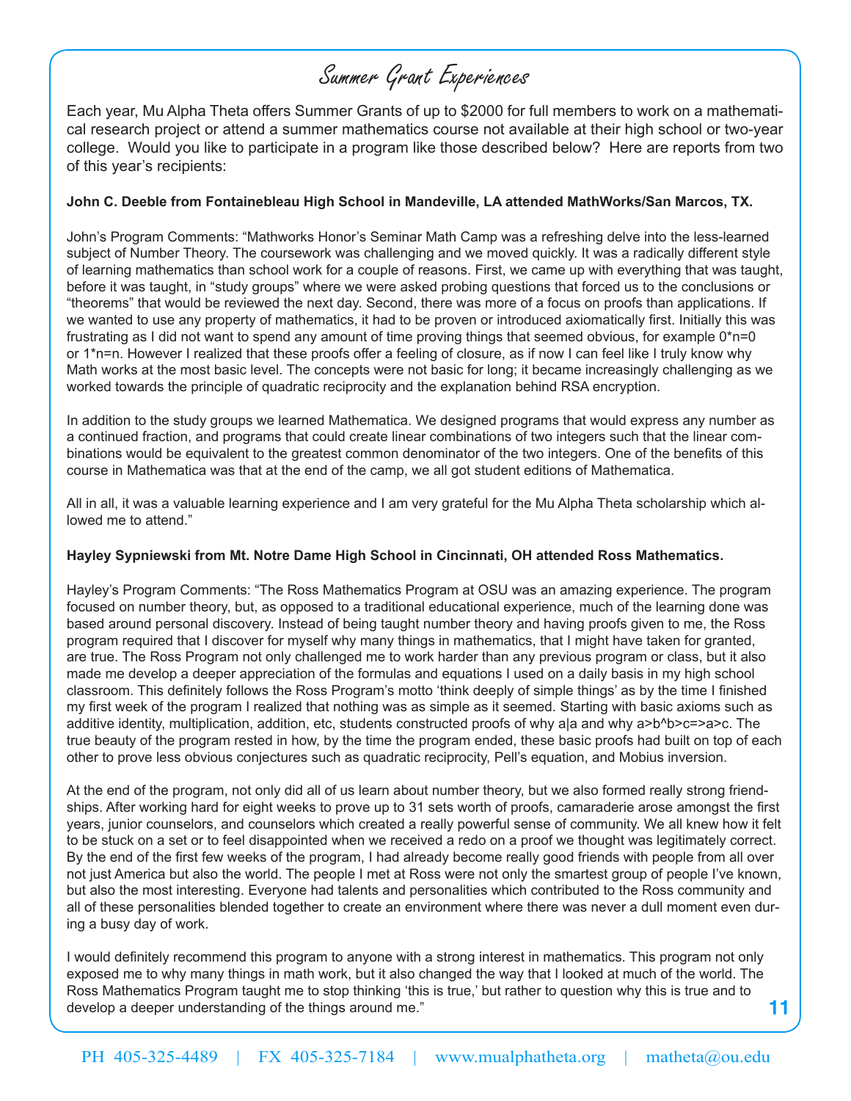# Summer Grant Experiences

Each year, Mu Alpha Theta offers Summer Grants of up to \$2000 for full members to work on a mathematical research project or attend a summer mathematics course not available at their high school or two-year college. Would you like to participate in a program like those described below? Here are reports from two of this year's recipients:

#### **John C. Deeble from Fontainebleau High School in Mandeville, LA attended MathWorks/San Marcos, TX.**

John's Program Comments: "Mathworks Honor's Seminar Math Camp was a refreshing delve into the less-learned subject of Number Theory. The coursework was challenging and we moved quickly. It was a radically different style of learning mathematics than school work for a couple of reasons. First, we came up with everything that was taught, before it was taught, in "study groups" where we were asked probing questions that forced us to the conclusions or "theorems" that would be reviewed the next day. Second, there was more of a focus on proofs than applications. If we wanted to use any property of mathematics, it had to be proven or introduced axiomatically first. Initially this was frustrating as I did not want to spend any amount of time proving things that seemed obvious, for example 0\*n=0 or 1\*n=n. However I realized that these proofs offer a feeling of closure, as if now I can feel like I truly know why Math works at the most basic level. The concepts were not basic for long; it became increasingly challenging as we worked towards the principle of quadratic reciprocity and the explanation behind RSA encryption.

In addition to the study groups we learned Mathematica. We designed programs that would express any number as a continued fraction, and programs that could create linear combinations of two integers such that the linear combinations would be equivalent to the greatest common denominator of the two integers. One of the benefits of this course in Mathematica was that at the end of the camp, we all got student editions of Mathematica.

All in all, it was a valuable learning experience and I am very grateful for the Mu Alpha Theta scholarship which allowed me to attend."

#### **Hayley Sypniewski from Mt. Notre Dame High School in Cincinnati, OH attended Ross Mathematics.**

Hayley's Program Comments: "The Ross Mathematics Program at OSU was an amazing experience. The program focused on number theory, but, as opposed to a traditional educational experience, much of the learning done was based around personal discovery. Instead of being taught number theory and having proofs given to me, the Ross program required that I discover for myself why many things in mathematics, that I might have taken for granted, are true. The Ross Program not only challenged me to work harder than any previous program or class, but it also made me develop a deeper appreciation of the formulas and equations I used on a daily basis in my high school classroom. This definitely follows the Ross Program's motto 'think deeply of simple things' as by the time I finished my first week of the program I realized that nothing was as simple as it seemed. Starting with basic axioms such as additive identity, multiplication, addition, etc, students constructed proofs of why a|a and why a>b^b>c=>a>c. The true beauty of the program rested in how, by the time the program ended, these basic proofs had built on top of each other to prove less obvious conjectures such as quadratic reciprocity, Pell's equation, and Mobius inversion.

At the end of the program, not only did all of us learn about number theory, but we also formed really strong friendships. After working hard for eight weeks to prove up to 31 sets worth of proofs, camaraderie arose amongst the first years, junior counselors, and counselors which created a really powerful sense of community. We all knew how it felt to be stuck on a set or to feel disappointed when we received a redo on a proof we thought was legitimately correct. By the end of the first few weeks of the program, I had already become really good friends with people from all over not just America but also the world. The people I met at Ross were not only the smartest group of people I've known, but also the most interesting. Everyone had talents and personalities which contributed to the Ross community and all of these personalities blended together to create an environment where there was never a dull moment even during a busy day of work.

I would definitely recommend this program to anyone with a strong interest in mathematics. This program not only exposed me to why many things in math work, but it also changed the way that I looked at much of the world. The Ross Mathematics Program taught me to stop thinking 'this is true,' but rather to question why this is true and to develop a deeper understanding of the things around me."